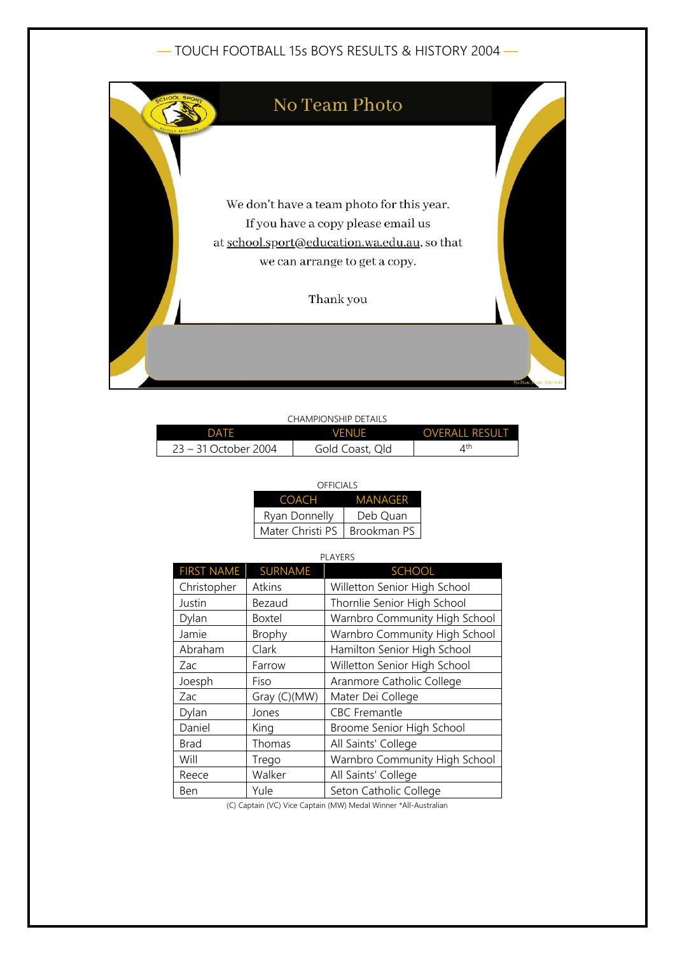## — TOUCH FOOTBALL 15s BOYS RESULTS & HISTORY 2004 —



| CHAMPIONSHIP DETAILS |                 |                         |  |
|----------------------|-----------------|-------------------------|--|
| DATF                 | <b>VENUE</b>    | <b>OVERALL RESULT</b>   |  |
| 23 – 31 October 2004 | Gold Coast, Qld | $\varDelta^{\text{th}}$ |  |

| OFFICIALS        |             |  |
|------------------|-------------|--|
| COACH            | MANAGFR     |  |
| Ryan Donnelly    | Deb Ouan    |  |
| Mater Christi PS | Brookman PS |  |

## PLAYERS

| <b>FIRST NAME</b> | <b>SURNAME</b> | <b>SCHOOL</b>                 |
|-------------------|----------------|-------------------------------|
| Christopher       | Atkins         | Willetton Senior High School  |
| Justin            | Bezaud         | Thornlie Senior High School   |
| Dylan             | <b>Boxtel</b>  | Warnbro Community High School |
| Jamie             | <b>Brophy</b>  | Warnbro Community High School |
| Abraham           | Clark          | Hamilton Senior High School   |
| Zac               | Farrow         | Willetton Senior High School  |
| Joesph            | Fiso           | Aranmore Catholic College     |
| Zac               | Gray (C)(MW)   | Mater Dei College             |
| Dylan             | Jones          | <b>CBC</b> Fremantle          |
| Daniel            | King           | Broome Senior High School     |
| Brad              | Thomas         | All Saints' College           |
| Will              | Trego          | Warnbro Community High School |
| Reece             | Walker         | All Saints' College           |
| Ben               | Yule           | Seton Catholic College        |

(C) Captain (VC) Vice Captain (MW) Medal Winner \*All-Australian